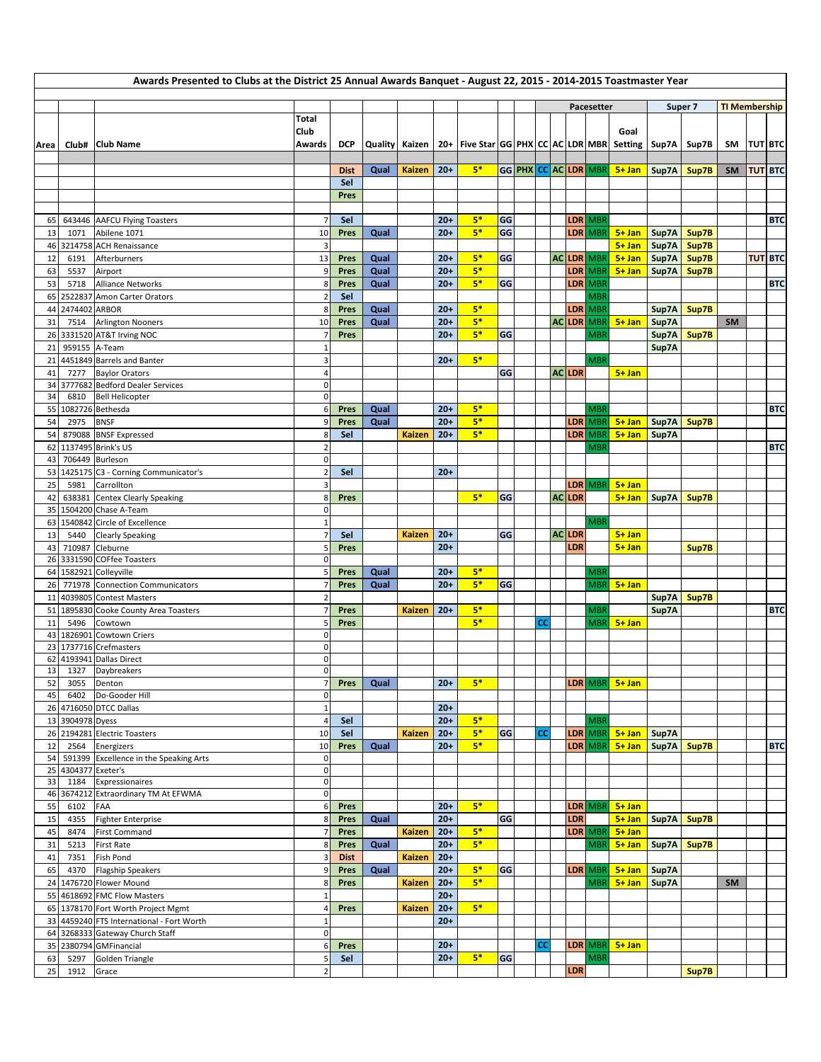| Awards Presented to Clubs at the District 25 Annual Awards Banquet - August 22, 2015 - 2014-2015 Toastmaster Year |                  |                                                                        |                                    |              |              |               |                |                                                                                               |    |  |    |  |                   |                       |                       |                        |       |                      |                |            |
|-------------------------------------------------------------------------------------------------------------------|------------------|------------------------------------------------------------------------|------------------------------------|--------------|--------------|---------------|----------------|-----------------------------------------------------------------------------------------------|----|--|----|--|-------------------|-----------------------|-----------------------|------------------------|-------|----------------------|----------------|------------|
|                                                                                                                   |                  |                                                                        |                                    |              |              |               |                |                                                                                               |    |  |    |  |                   |                       |                       |                        |       |                      |                |            |
|                                                                                                                   |                  |                                                                        | Total                              |              |              |               |                |                                                                                               |    |  |    |  |                   | Pacesetter            |                       | Super 7                |       | <b>TI Membership</b> |                |            |
|                                                                                                                   |                  |                                                                        | Club                               |              |              |               |                |                                                                                               |    |  |    |  |                   |                       | Goal                  |                        |       |                      |                |            |
| Area                                                                                                              |                  | Club#   Club Name                                                      | Awards                             | <b>DCP</b>   |              |               |                | Quality   Kaizen   20+   Five Star   GG   PHX   CC   AC   LDR   MBR   Setting   Sup7A   Sup7B |    |  |    |  |                   |                       |                       |                        |       | SM                   | <b>TUT BTC</b> |            |
|                                                                                                                   |                  |                                                                        |                                    |              |              |               |                |                                                                                               |    |  |    |  |                   |                       |                       |                        |       |                      |                |            |
|                                                                                                                   |                  |                                                                        |                                    | <b>Dist</b>  | Qual         | Kaizen        | $20+$          | $5*$                                                                                          |    |  |    |  |                   | GG PHX CC AC LDR MBR  | $5 + Jan$             | Sup7A Sup7B            |       | <b>SM</b>            | <b>TUT BTC</b> |            |
|                                                                                                                   |                  |                                                                        |                                    | Sel          |              |               |                |                                                                                               |    |  |    |  |                   |                       |                       |                        |       |                      |                |            |
|                                                                                                                   |                  |                                                                        |                                    | Pres         |              |               |                |                                                                                               |    |  |    |  |                   |                       |                       |                        |       |                      |                |            |
| 65                                                                                                                |                  | 643446 AAFCU Flying Toasters                                           | $\overline{7}$                     | Sel          |              |               | $20+$          | $5*$                                                                                          | GG |  |    |  |                   | LDR MBR               |                       |                        |       |                      |                | <b>BTC</b> |
| 13                                                                                                                | 1071             | Abilene 1071                                                           | 10                                 | Pres         | Qual         |               | $20+$          | $5*$                                                                                          | GG |  |    |  |                   | LDR MBR               | $5 + Jan$             | Sup7A                  | Sup7B |                      |                |            |
| 46                                                                                                                |                  | 3214758 ACH Renaissance                                                | 3                                  |              |              |               |                |                                                                                               |    |  |    |  |                   |                       | $5 + Jan$             | Sup7A                  | Sup7B |                      |                |            |
| 12                                                                                                                | 6191             | Afterburners                                                           | 13                                 | Pres         | Qual         |               | $20+$          | $5*$                                                                                          | GG |  |    |  |                   | <b>AC LDR MBR</b>     | $5 + Jan$             | Sup7A                  | Sup7B |                      | <b>TUT BTC</b> |            |
| 63                                                                                                                | 5537             | Airport                                                                | 9                                  | Pres         | Qual         |               | $20+$          | $5*$                                                                                          |    |  |    |  |                   | LDR MBR               | $5 + Jan$             | Sup7A                  | Sup7B |                      |                |            |
| 53                                                                                                                | 5718             | <b>Alliance Networks</b>                                               | 8<br>$\overline{2}$                | Pres         | Qual         |               | $20+$          | $5*$                                                                                          | GG |  |    |  |                   | LDR MBR               |                       |                        |       |                      |                | <b>BTC</b> |
| 65<br>44                                                                                                          | 2474402 ARBOR    | 2522837 Amon Carter Orators                                            | 8                                  | Sel<br>Pres  | Qual         |               | $20+$          | $5*$                                                                                          |    |  |    |  |                   | <b>MBR</b><br>LDR MBR |                       | Sup7A                  | Sup7B |                      |                |            |
| 31                                                                                                                | 7514             | <b>Arlington Nooners</b>                                               | 10                                 | Pres         | Qual         |               | $20+$          | $5*$                                                                                          |    |  |    |  |                   | <b>AC LDR MBR</b>     | $5 + Jan$             | Sup7A                  |       | <b>SM</b>            |                |            |
| 26                                                                                                                |                  | 3331520 AT&T Irving NOC                                                | 7                                  | Pres         |              |               | $20+$          | $5*$                                                                                          | GG |  |    |  |                   | <b>MBR</b>            |                       | Sup7A                  | Sup7B |                      |                |            |
| 21                                                                                                                | 959155 A-Team    |                                                                        | $\mathbf 1$                        |              |              |               |                |                                                                                               |    |  |    |  |                   |                       |                       | Sup7A                  |       |                      |                |            |
| 21                                                                                                                |                  | 4451849 Barrels and Banter                                             | $\overline{\mathbf{3}}$            |              |              |               | $20+$          | $5*$                                                                                          |    |  |    |  |                   | <b>MBR</b>            |                       |                        |       |                      |                |            |
| 41                                                                                                                | 7277             | <b>Baylor Orators</b>                                                  | $\overline{4}$                     |              |              |               |                |                                                                                               | GG |  |    |  | AC LDR            |                       | $5 + Jan$             |                        |       |                      |                |            |
| 34<br>34                                                                                                          | 6810             | 3777682 Bedford Dealer Services<br><b>Bell Helicopter</b>              | $\mathsf{O}\xspace$<br>$\mathbf 0$ |              |              |               |                |                                                                                               |    |  |    |  |                   |                       |                       |                        |       |                      |                |            |
| 55                                                                                                                |                  | 1082726 Bethesda                                                       | 6                                  | Pres         | Qual         |               | $20+$          | $5*$                                                                                          |    |  |    |  |                   | <b>MBR</b>            |                       |                        |       |                      |                | <b>BTC</b> |
| 54                                                                                                                | 2975             | <b>BNSF</b>                                                            |                                    | Pres         | Qual         |               | $20+$          | $5*$                                                                                          |    |  |    |  |                   | LDR MBR               | $5 + Jan$             | Sup7A                  | Sup7B |                      |                |            |
| 54                                                                                                                |                  | 879088 BNSF Expressed                                                  | 8                                  | Sel          |              | Kaizen        | $20+$          | $5*$                                                                                          |    |  |    |  |                   | LDR MBR               | $5 + Jan$             | Sup7A                  |       |                      |                |            |
| 62                                                                                                                |                  | 1137495 Brink's US                                                     | $\overline{2}$                     |              |              |               |                |                                                                                               |    |  |    |  |                   | MBR                   |                       |                        |       |                      |                | <b>BTC</b> |
| 43                                                                                                                |                  | 706449 Burleson                                                        | $\mathbf 0$                        |              |              |               |                |                                                                                               |    |  |    |  |                   |                       |                       |                        |       |                      |                |            |
| 53                                                                                                                |                  | 1425175 C3 - Corning Communicator's                                    | $\overline{2}$                     | Sel          |              |               | $20+$          |                                                                                               |    |  |    |  |                   |                       |                       |                        |       |                      |                |            |
| 25<br>42                                                                                                          | 5981             | Carrollton<br>638381 Centex Clearly Speaking                           | 3<br>8                             | Pres         |              |               |                | $5*$                                                                                          | GG |  |    |  | AC LDR            | LDR MBR               | $5 + Jan$             | 5+ Jan   Sup7A   Sup7B |       |                      |                |            |
| 35                                                                                                                |                  | 1504200 Chase A-Team                                                   | $\mathbf 0$                        |              |              |               |                |                                                                                               |    |  |    |  |                   |                       |                       |                        |       |                      |                |            |
| 63                                                                                                                |                  | 1540842 Circle of Excellence                                           | $\mathbf 1$                        |              |              |               |                |                                                                                               |    |  |    |  |                   | <b>MBR</b>            |                       |                        |       |                      |                |            |
| 13                                                                                                                | 5440             | <b>Clearly Speaking</b>                                                |                                    | Sel          |              | Kaizen        | $20+$          |                                                                                               | GG |  |    |  | <b>ACLDR</b>      |                       | $5 + Jan$             |                        |       |                      |                |            |
| 43                                                                                                                |                  | 710987 Cleburne                                                        | 5                                  | Pres         |              |               | $20+$          |                                                                                               |    |  |    |  | LDR               |                       | $5+$ Jan              |                        | Sup7B |                      |                |            |
| 26                                                                                                                |                  | 3331590 COFfee Toasters                                                | $\mathbf 0$                        |              |              |               |                |                                                                                               |    |  |    |  |                   |                       |                       |                        |       |                      |                |            |
| 64                                                                                                                |                  | 1582921 Colleyville<br>771978 Connection Communicators                 | 5<br>$\overline{7}$                | Pres<br>Pres | Qual<br>Qual |               | $20+$<br>$20+$ | $5*$<br>$5*$                                                                                  | GG |  |    |  |                   | MBR<br>MBR            | $5 + Jan$             |                        |       |                      |                |            |
| 26<br>11                                                                                                          |                  | 4039805 Contest Masters                                                | $\overline{2}$                     |              |              |               |                |                                                                                               |    |  |    |  |                   |                       |                       | Sup7A Sup7B            |       |                      |                |            |
| 51                                                                                                                |                  | 1895830 Cooke County Area Toasters                                     | 7                                  | Pres         |              | Kaizen        | $20+$          | $5*$                                                                                          |    |  |    |  |                   | <b>MBR</b>            |                       | Sup7A                  |       |                      |                | <b>BTC</b> |
| 11                                                                                                                | 5496             | Cowtown                                                                |                                    | Pres         |              |               |                | $5*$                                                                                          |    |  | cc |  |                   | <b>MBR</b>            | $5 + Jan$             |                        |       |                      |                |            |
| 43                                                                                                                |                  | 1826901 Cowtown Criers                                                 | 0                                  |              |              |               |                |                                                                                               |    |  |    |  |                   |                       |                       |                        |       |                      |                |            |
| 23                                                                                                                |                  | 1737716 Crefmasters                                                    | $\mathbf 0$                        |              |              |               |                |                                                                                               |    |  |    |  |                   |                       |                       |                        |       |                      |                |            |
| 62<br>13                                                                                                          | 1327             | 4193941 Dallas Direct<br>Daybreakers                                   | $\mathbf 0$<br>$\overline{0}$      |              |              |               |                |                                                                                               |    |  |    |  |                   |                       |                       |                        |       |                      |                |            |
| 52                                                                                                                | 3055             | Denton                                                                 | $\overline{7}$                     | Pres         | Qual         |               | $20+$          | $5*$                                                                                          |    |  |    |  |                   | LDR MBR               | $5 + Jan$             |                        |       |                      |                |            |
| 45                                                                                                                | 6402             | Do-Gooder Hill                                                         | $\mathbf 0$                        |              |              |               |                |                                                                                               |    |  |    |  |                   |                       |                       |                        |       |                      |                |            |
| 26                                                                                                                |                  | 4716050 DTCC Dallas                                                    | $\mathbf 1$                        |              |              |               | $20+$          |                                                                                               |    |  |    |  |                   |                       |                       |                        |       |                      |                |            |
| 13                                                                                                                | 3904978 Dyess    |                                                                        | $\overline{a}$                     | Sel          |              |               | $20+$          | $5*$                                                                                          |    |  |    |  |                   | <b>MBR</b>            |                       |                        |       |                      |                |            |
| 26                                                                                                                | 2194281          | <b>Electric Toasters</b>                                               | 10                                 | Sel          |              | <b>Kaizen</b> | $20+$          | $5*$<br>$5*$                                                                                  | GG |  | СC |  |                   | LDR MBR               | $5 + Jan$             | Sup7A                  |       |                      |                |            |
| 12<br>54                                                                                                          | 2564<br>591399   | Energizers<br>Excellence in the Speaking Arts                          | 10<br>$\mathsf{O}\xspace$          | Pres         | Qual         |               | $20+$          |                                                                                               |    |  |    |  |                   | LDR MBR               | $5 + Jan$             | Sup7A Sup7B            |       |                      |                | <b>BTC</b> |
| 25                                                                                                                | 4304377 Exeter's |                                                                        | $\pmb{0}$                          |              |              |               |                |                                                                                               |    |  |    |  |                   |                       |                       |                        |       |                      |                |            |
| 33                                                                                                                | 1184             | Expressionaires                                                        | $\mathsf{O}\xspace$                |              |              |               |                |                                                                                               |    |  |    |  |                   |                       |                       |                        |       |                      |                |            |
| 46                                                                                                                |                  | 3674212 Extraordinary TM At EFWMA                                      | $\overline{0}$                     |              |              |               |                |                                                                                               |    |  |    |  |                   |                       |                       |                        |       |                      |                |            |
| 55                                                                                                                | 6102             | FAA                                                                    | 6                                  | Pres         |              |               | $20+$          | $5*$                                                                                          |    |  |    |  |                   | LDR MBR               | $5 + Jan$             |                        |       |                      |                |            |
| 15<br>45                                                                                                          | 4355<br>8474     | <b>Fighter Enterprise</b><br><b>First Command</b>                      | $\bf 8$<br>$\overline{7}$          | Pres<br>Pres | Qual         | <b>Kaizen</b> | $20+$<br>$20+$ | $5*$                                                                                          | GG |  |    |  | LDR<br><b>LDR</b> | <b>MBR</b>            | $5+$ Jan<br>$5 + Jan$ | Sup7A                  | Sup7B |                      |                |            |
| 31                                                                                                                | 5213             | <b>First Rate</b>                                                      | 8                                  | Pres         | Qual         |               | $20+$          | $5*$                                                                                          |    |  |    |  |                   | <b>MBR</b>            | $5 + Jan$             | Sup7A                  | Sup7B |                      |                |            |
| 41                                                                                                                | 7351             | Fish Pond                                                              | 3                                  | <b>Dist</b>  |              | <b>Kaizen</b> | $20+$          |                                                                                               |    |  |    |  |                   |                       |                       |                        |       |                      |                |            |
| 65                                                                                                                | 4370             | <b>Flagship Speakers</b>                                               | 9                                  | Pres         | Qual         |               | $20+$          | $5*$                                                                                          | GG |  |    |  |                   | LDR MBR               | $5 + Jan$             | Sup7A                  |       |                      |                |            |
|                                                                                                                   |                  | 24 1476720 Flower Mound                                                | 8                                  | Pres         |              | <b>Kaizen</b> | $20+$          | $5*$                                                                                          |    |  |    |  |                   | <b>MBR</b>            | $5 + Jan$             | Sup7A                  |       | <b>SM</b>            |                |            |
| 55                                                                                                                |                  | 4618692 FMC Flow Masters                                               | $\mathbf{1}$                       |              |              |               | $20+$          |                                                                                               |    |  |    |  |                   |                       |                       |                        |       |                      |                |            |
| 65                                                                                                                |                  | 1378170 Fort Worth Project Mgmt                                        | $\overline{4}$                     | Pres         |              | <b>Kaizen</b> | $20+$          | $5*$                                                                                          |    |  |    |  |                   |                       |                       |                        |       |                      |                |            |
| 33<br>64                                                                                                          |                  | 4459240 FTS International - Fort Worth<br>3268333 Gateway Church Staff | $\mathbf 1$<br>$\mathbf 0$         |              |              |               | $20+$          |                                                                                               |    |  |    |  |                   |                       |                       |                        |       |                      |                |            |
| 35                                                                                                                |                  | 2380794 GMFinancial                                                    | 6                                  | Pres         |              |               | $20+$          |                                                                                               |    |  | cc |  |                   | LDR MBR               | $5 + Jan$             |                        |       |                      |                |            |
| 63                                                                                                                | 5297             | Golden Triangle                                                        | 5                                  | Sel          |              |               | $20+$          | $5*$                                                                                          | GG |  |    |  |                   | <b>MBR</b>            |                       |                        |       |                      |                |            |
| 25                                                                                                                | 1912             | Grace                                                                  | $\overline{2}$                     |              |              |               |                |                                                                                               |    |  |    |  | <b>LDR</b>        |                       |                       |                        | Sup7B |                      |                |            |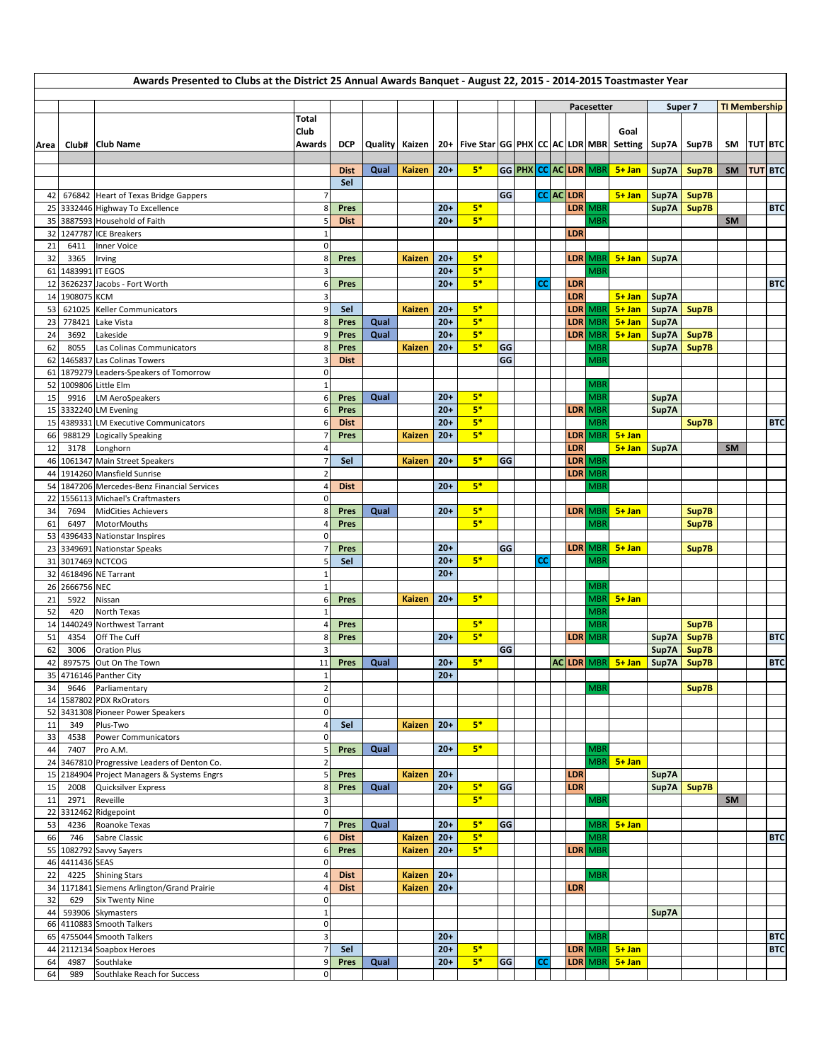|          | Awards Presented to Clubs at the District 25 Annual Awards Banquet - August 22, 2015 - 2014-2015 Toastmaster Year |                                                                   |                  |             |      |               |                |                                                                                               |    |  |           |  |                          |                          |                                  |             |               |                      |                |                |
|----------|-------------------------------------------------------------------------------------------------------------------|-------------------------------------------------------------------|------------------|-------------|------|---------------|----------------|-----------------------------------------------------------------------------------------------|----|--|-----------|--|--------------------------|--------------------------|----------------------------------|-------------|---------------|----------------------|----------------|----------------|
|          |                                                                                                                   |                                                                   |                  |             |      |               |                |                                                                                               |    |  |           |  |                          | Pacesetter               |                                  |             | Super 7       | <b>TI Membership</b> |                |                |
|          |                                                                                                                   |                                                                   | Total            |             |      |               |                |                                                                                               |    |  |           |  |                          |                          |                                  |             |               |                      |                |                |
|          |                                                                                                                   |                                                                   | Club             |             |      |               |                |                                                                                               |    |  |           |  |                          |                          | Goal                             |             |               |                      |                |                |
| Area     |                                                                                                                   | Club# Club Name                                                   | <b>Awards</b>    | <b>DCP</b>  |      |               |                | Quality   Kaizen   20+   Five Star   GG   PHX   CC   AC   LDR   MBR   Setting   Sup7A   Sup7B |    |  |           |  |                          |                          |                                  |             |               | SM                   | <b>TUT BTC</b> |                |
|          |                                                                                                                   |                                                                   |                  | <b>Dist</b> | Qual | <b>Kaizen</b> | $20+$          | $5*$                                                                                          |    |  |           |  |                          | GG PHX CC AC LDR MBR     | $5 + Jan$                        | Sup7A       | Sup7B         | <b>SM</b>            |                | <b>TUT BTC</b> |
|          |                                                                                                                   |                                                                   |                  | Sel         |      |               |                |                                                                                               |    |  |           |  |                          |                          |                                  |             |               |                      |                |                |
| 42       |                                                                                                                   | 676842 Heart of Texas Bridge Gappers                              |                  |             |      |               |                |                                                                                               | GG |  | CC AC LDR |  |                          |                          | $5 + Jan$                        | Sup7A Sup7B |               |                      |                |                |
| 25       |                                                                                                                   | 3332446 Highway To Excellence                                     | 8                | Pres        |      |               | $20+$          | $5*$                                                                                          |    |  |           |  |                          | LDR MBR                  |                                  |             | Sup7A Sup7B   |                      |                | <b>BTC</b>     |
| 35<br>32 |                                                                                                                   | 3887593 Household of Faith<br>1247787 ICE Breakers                |                  | <b>Dist</b> |      |               | $20+$          | $5*$                                                                                          |    |  |           |  | <b>LDR</b>               | <b>MBR</b>               |                                  |             |               | <b>SM</b>            |                |                |
| 21       | 6411                                                                                                              | Inner Voice                                                       | 0                |             |      |               |                |                                                                                               |    |  |           |  |                          |                          |                                  |             |               |                      |                |                |
| 32       | 3365                                                                                                              | Irving                                                            | 8                | Pres        |      | <b>Kaizen</b> | $20+$          | $5*$                                                                                          |    |  |           |  |                          | LDR MBR                  | $5 + Jan$                        | Sup7A       |               |                      |                |                |
| 61       | 1483991 IT EGOS                                                                                                   |                                                                   | 3                |             |      |               | $20+$          | $5*$                                                                                          |    |  |           |  |                          | <b>MBR</b>               |                                  |             |               |                      |                |                |
| 12       | 1908075 KCM                                                                                                       | 3626237 Jacobs - Fort Worth                                       | 6<br>3           | Pres        |      |               | $20+$          | $5*$                                                                                          |    |  | СC        |  | <b>LDR</b><br><b>LDR</b> |                          | $5+$ Jan                         | Sup7A       |               |                      |                | <b>BTC</b>     |
| 14<br>53 | 621025                                                                                                            | Keller Communicators                                              | q                | Sel         |      | <b>Kaizen</b> | $20+$          | $5*$                                                                                          |    |  |           |  |                          | LDR MBR                  | $5 + Jan$                        | Sup7A       | Sup7B         |                      |                |                |
| 23       | 778421                                                                                                            | Lake Vista                                                        | 8                | Pres        | Qual |               | $20+$          | $5*$                                                                                          |    |  |           |  |                          | LDR MBR                  | $5 + Jan$                        | Sup7A       |               |                      |                |                |
| 24       | 3692                                                                                                              | Lakeside                                                          | q                | Pres        | Qual |               | $20+$          | $5*$                                                                                          |    |  |           |  |                          | LDR MBR                  | $5 + Jan$                        | Sup7A       | Sup7B         |                      |                |                |
| 62       | 8055                                                                                                              | Las Colinas Communicators                                         | 8                | Pres        |      | <b>Kaizen</b> | $20+$          | $5*$                                                                                          | GG |  |           |  |                          | <b>MBR</b>               |                                  | Sup7A       | Sup7B         |                      |                |                |
| 62       |                                                                                                                   | 1465837 Las Colinas Towers                                        | 0                | <b>Dist</b> |      |               |                |                                                                                               | GG |  |           |  |                          | <b>MBR</b>               |                                  |             |               |                      |                |                |
| 61<br>52 |                                                                                                                   | 1879279 Leaders-Speakers of Tomorrow<br>1009806 Little Elm        |                  |             |      |               |                |                                                                                               |    |  |           |  |                          | <b>MBR</b>               |                                  |             |               |                      |                |                |
| 15       | 9916                                                                                                              | <b>LM AeroSpeakers</b>                                            | 6                | Pres        | Qual |               | $20+$          | $5*$                                                                                          |    |  |           |  |                          | <b>MBF</b>               |                                  | Sup7A       |               |                      |                |                |
| 15       |                                                                                                                   | 3332240 LM Evening                                                |                  | Pres        |      |               | $20+$          | $5*$                                                                                          |    |  |           |  |                          | LDR MBR                  |                                  | Sup7A       |               |                      |                |                |
| 15       |                                                                                                                   | 4389331 LM Executive Communicators                                | 6                | <b>Dist</b> |      |               | $20+$          | $5*$                                                                                          |    |  |           |  |                          | <b>MBR</b>               |                                  |             | Sup7B         |                      |                | <b>BTC</b>     |
| 66       |                                                                                                                   | 988129 Logically Speaking                                         |                  | Pres        |      | <b>Kaizen</b> | $20+$          | $5*$                                                                                          |    |  |           |  |                          | LDR MBR                  | $5 + Jan$                        |             |               |                      |                |                |
| 12<br>46 | 3178                                                                                                              | Longhorn<br>1061347 Main Street Speakers                          | 4                | Sel         |      | Kaizen        | $20+$          | $5*$                                                                                          | GG |  |           |  | LDR                      | LDR MBR                  | $5+$ Jan   Sup7A                 |             |               | <b>SM</b>            |                |                |
| 44       |                                                                                                                   | 1914260 Mansfield Sunrise                                         |                  |             |      |               |                |                                                                                               |    |  |           |  |                          | LDR MBR                  |                                  |             |               |                      |                |                |
| 54       |                                                                                                                   | 1847206 Mercedes-Benz Financial Services                          |                  | <b>Dist</b> |      |               | $20+$          | $5*$                                                                                          |    |  |           |  |                          | <b>MBR</b>               |                                  |             |               |                      |                |                |
| 22       |                                                                                                                   | 1556113 Michael's Craftmasters                                    | 0                |             |      |               |                |                                                                                               |    |  |           |  |                          |                          |                                  |             |               |                      |                |                |
| 34       | 7694                                                                                                              | <b>MidCities Achievers</b>                                        | 8                | Pres        | Qual |               | $20+$          | $5*$                                                                                          |    |  |           |  |                          | LDR MBR                  | $5 + Jan$                        |             | Sup7B         |                      |                |                |
| 61<br>53 | 6497                                                                                                              | MotorMouths<br>4396433 Nationstar Inspires                        | 4<br>$\pmb{0}$   | Pres        |      |               |                | $5*$                                                                                          |    |  |           |  |                          | <b>MBR</b>               |                                  |             | Sup7B         |                      |                |                |
| 23       |                                                                                                                   | 3349691 Nationstar Speaks                                         |                  | Pres        |      |               | $20+$          |                                                                                               | GG |  |           |  |                          | LDR MBR                  | $5 + Jan$                        |             | Sup7B         |                      |                |                |
| 31       |                                                                                                                   | 3017469 NCTCOG                                                    | 5                | Sel         |      |               | $20+$          | $5*$                                                                                          |    |  | <b>CC</b> |  |                          | <b>MBR</b>               |                                  |             |               |                      |                |                |
| 32       |                                                                                                                   | 4618496 NE Tarrant                                                |                  |             |      |               | $20+$          |                                                                                               |    |  |           |  |                          |                          |                                  |             |               |                      |                |                |
| 26       | 2666756 NEC                                                                                                       |                                                                   |                  |             |      |               |                |                                                                                               |    |  |           |  |                          | <b>MBR</b>               |                                  |             |               |                      |                |                |
| 21<br>52 | 5922<br>420                                                                                                       | Nissan<br>North Texas                                             | 6                | Pres        |      | <b>Kaizen</b> | $20+$          | $5*$                                                                                          |    |  |           |  |                          | <b>MBR</b><br><b>MBR</b> | $5 + Jan$                        |             |               |                      |                |                |
| 14       |                                                                                                                   | 1440249 Northwest Tarrant                                         |                  | Pres        |      |               |                | $5*$                                                                                          |    |  |           |  |                          | <b>MBR</b>               |                                  |             | Sup7B         |                      |                |                |
| 51       | 4354                                                                                                              | Off The Cuff                                                      | ٤                | Pres        |      |               | $20+$          | $5*$                                                                                          |    |  |           |  |                          | LDR MBR                  |                                  | Sup7A       | Sup7B         |                      |                | <b>BTC</b>     |
| 62       | 3006                                                                                                              | <b>Oration Plus</b>                                               |                  |             |      |               |                |                                                                                               | GG |  |           |  |                          |                          |                                  | Sup7A       | Sup7B         |                      |                |                |
| 42       | 897575                                                                                                            | Out On The Town                                                   | 11               | Pres        | Qual |               | $20+$          | $5*$                                                                                          |    |  |           |  |                          | AC LDR MBR               | $5 + Jan$                        | Sup7A       | Sup7B         |                      |                | <b>BTC</b>     |
| 34       | 9646                                                                                                              | 35 4716146 Panther City<br>Parliamentary                          | $\mathbf 2$      |             |      |               | $20+$          |                                                                                               |    |  |           |  |                          | <b>MBR</b>               |                                  |             | Sup7B         |                      |                |                |
|          |                                                                                                                   | 14 1587802 PDX RxOrators                                          | $\pmb{0}$        |             |      |               |                |                                                                                               |    |  |           |  |                          |                          |                                  |             |               |                      |                |                |
| 52       |                                                                                                                   | 3431308 Pioneer Power Speakers                                    | $\mathbf 0$      |             |      |               |                |                                                                                               |    |  |           |  |                          |                          |                                  |             |               |                      |                |                |
| 11       | 349                                                                                                               | Plus-Two                                                          | 4                | Sel         |      | Kaizen        | $20+$          | $5*$                                                                                          |    |  |           |  |                          |                          |                                  |             |               |                      |                |                |
| 33<br>44 | 4538<br>7407                                                                                                      | Power Communicators<br>Pro A.M.                                   | $\mathbf 0$<br>5 | Pres        | Qual |               | $20+$          | $5*$                                                                                          |    |  |           |  |                          | <b>MBR</b>               |                                  |             |               |                      |                |                |
| 24       |                                                                                                                   | 3467810 Progressive Leaders of Denton Co.                         | $\overline{2}$   |             |      |               |                |                                                                                               |    |  |           |  |                          |                          | $MBR$ 5+ Jan                     |             |               |                      |                |                |
| 15       |                                                                                                                   | 2184904 Project Managers & Systems Engrs                          | 5                | Pres        |      | Kaizen        | $20+$          |                                                                                               |    |  |           |  | <b>LDR</b>               |                          |                                  | Sup7A       |               |                      |                |                |
| 15       | 2008                                                                                                              | Quicksilver Express                                               | 8                | Pres        | Qual |               | $20+$          | $5*$                                                                                          | GG |  |           |  | LDR                      |                          |                                  |             | Sup7A   Sup7B |                      |                |                |
| 11       | 2971                                                                                                              | Reveille                                                          | 3                |             |      |               |                | $5*$                                                                                          |    |  |           |  |                          | <b>MBR</b>               |                                  |             |               | SM                   |                |                |
| 22<br>53 | 4236                                                                                                              | 3312462 Ridgepoint<br>Roanoke Texas                               | $\mathbf 0$      | Pres        | Qual |               | $20+$          | $5*$                                                                                          | GG |  |           |  |                          | <b>MBR</b>               | $5 + Jan$                        |             |               |                      |                |                |
| 66       | 746                                                                                                               | Sabre Classic                                                     | 6                | <b>Dist</b> |      | <b>Kaizen</b> | $20+$          | $5*$                                                                                          |    |  |           |  |                          | <b>MBR</b>               |                                  |             |               |                      |                | <b>BTC</b>     |
|          |                                                                                                                   | 55 1082792 Savvy Sayers                                           | 6                | Pres        |      | <b>Kaizen</b> | $20+$          | $5*$                                                                                          |    |  |           |  |                          | LDR MBR                  |                                  |             |               |                      |                |                |
|          | 46 4411436 SEAS                                                                                                   |                                                                   | 0                |             |      |               |                |                                                                                               |    |  |           |  |                          |                          |                                  |             |               |                      |                |                |
| 22       | 4225                                                                                                              | <b>Shining Stars</b>                                              | 4                | <b>Dist</b> |      | Kaizen        | $20+$          |                                                                                               |    |  |           |  |                          | <b>MBR</b>               |                                  |             |               |                      |                |                |
| 34<br>32 | 629                                                                                                               | 1171841 Siemens Arlington/Grand Prairie<br><b>Six Twenty Nine</b> | 4<br>0           | <b>Dist</b> |      | <b>Kaizen</b> | $20+$          |                                                                                               |    |  |           |  | <b>LDR</b>               |                          |                                  |             |               |                      |                |                |
| 44       |                                                                                                                   | 593906 Skymasters                                                 | $\mathbf{1}$     |             |      |               |                |                                                                                               |    |  |           |  |                          |                          |                                  | Sup7A       |               |                      |                |                |
| 66       |                                                                                                                   | 4110883 Smooth Talkers                                            | $\mathbf 0$      |             |      |               |                |                                                                                               |    |  |           |  |                          |                          |                                  |             |               |                      |                |                |
| 65       |                                                                                                                   | 4755044 Smooth Talkers                                            | 3                |             |      |               | $20+$          |                                                                                               |    |  |           |  |                          | <b>MBR</b>               |                                  |             |               |                      |                | <b>BTC</b>     |
| 44<br>64 | 4987                                                                                                              | 2112134 Soapbox Heroes                                            | 7<br>9           | Sel         | Qual |               | $20+$<br>$20+$ | $5*$<br>$5*$                                                                                  | GG |  | <b>CC</b> |  |                          |                          | LDR MBR 5+ Jan<br>LDR MBR 5+ Jan |             |               |                      |                | <b>BTC</b>     |
| 64       | 989                                                                                                               | Southlake<br>Southlake Reach for Success                          | $\pmb{0}$        | Pres        |      |               |                |                                                                                               |    |  |           |  |                          |                          |                                  |             |               |                      |                |                |